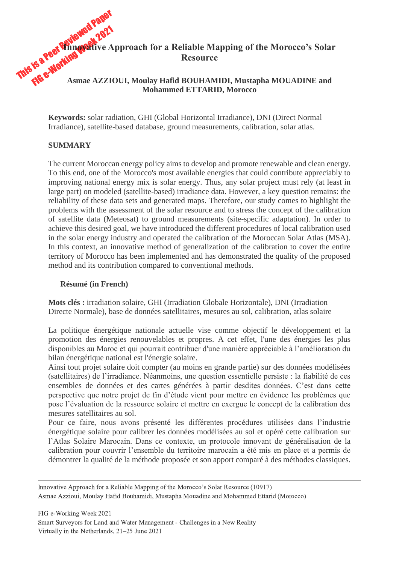

**Keywords:** solar radiation, GHI (Global Horizontal Irradiance), DNI (Direct Normal Irradiance), satellite-based database, ground measurements, calibration, solar atlas.

### **SUMMARY**

The current Moroccan energy policy aims to develop and promote renewable and clean energy. To this end, one of the Morocco's most available energies that could contribute appreciably to improving national energy mix is solar energy. Thus, any solar project must rely (at least in large part) on modeled (satellite-based) irradiance data. However, a key question remains: the reliability of these data sets and generated maps. Therefore, our study comes to highlight the problems with the assessment of the solar resource and to stress the concept of the calibration of satellite data (Meteosat) to ground measurements (site-specific adaptation). In order to achieve this desired goal, we have introduced the different procedures of local calibration used in the solar energy industry and operated the calibration of the Moroccan Solar Atlas (MSA). In this context, an innovative method of generalization of the calibration to cover the entire territory of Morocco has been implemented and has demonstrated the quality of the proposed method and its contribution compared to conventional methods.

#### **Résumé (in French)**

**Mots clés :** irradiation solaire, GHI (Irradiation Globale Horizontale), DNI (Irradiation Directe Normale), base de données satellitaires, mesures au sol, calibration, atlas solaire

La politique énergétique nationale actuelle vise comme objectif le développement et la promotion des énergies renouvelables et propres. A cet effet, l'une des énergies les plus disponibles au Maroc et qui pourrait contribuer d'une manière appréciable à l'amélioration du bilan énergétique national est l'énergie solaire.

Ainsi tout projet solaire doit compter (au moins en grande partie) sur des données modélisées (satellitaires) de l'irradiance. Néanmoins, une question essentielle persiste : la fiabilité de ces ensembles de données et des cartes générées à partir desdites données. C'est dans cette perspective que notre projet de fin d'étude vient pour mettre en évidence les problèmes que pose l'évaluation de la ressource solaire et mettre en exergue le concept de la calibration des mesures satellitaires au sol.

Pour ce faire, nous avons présenté les différentes procédures utilisées dans l'industrie énergétique solaire pour calibrer les données modélisées au sol et opéré cette calibration sur l'Atlas Solaire Marocain. Dans ce contexte, un protocole innovant de généralisation de la calibration pour couvrir l'ensemble du territoire marocain a été mis en place et a permis de démontrer la qualité de la méthode proposée et son apport comparé à des méthodes classiques.

Innovative Approach for a Reliable Mapping of the Morocco's Solar Resource (10917) Asmae Azzioui, Moulay Hafid Bouhamidi, Mustapha Mouadine and Mohammed Ettarid (Morocco)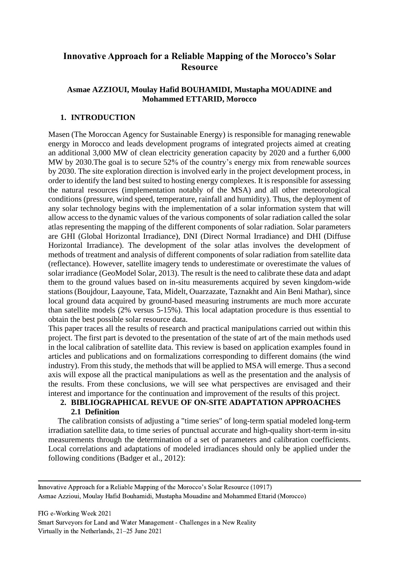# **Innovative Approach for a Reliable Mapping of the Morocco's Solar Resource**

### **Asmae AZZIOUI, Moulay Hafid BOUHAMIDI, Mustapha MOUADINE and Mohammed ETTARID, Morocco**

## **1. INTRODUCTION**

Masen (The Moroccan Agency for Sustainable Energy) is responsible for managing renewable energy in Morocco and leads development programs of integrated projects aimed at creating an additional 3,000 MW of clean electricity generation capacity by 2020 and a further 6,000 MW by 2030.The goal is to secure 52% of the country's energy mix from renewable sources by 2030. The site exploration direction is involved early in the project development process, in order to identify the land best suited to hosting energy complexes. It is responsible for assessing the natural resources (implementation notably of the MSA) and all other meteorological conditions (pressure, wind speed, temperature, rainfall and humidity). Thus, the deployment of any solar technology begins with the implementation of a solar information system that will allow access to the dynamic values of the various components of solar radiation called the solar atlas representing the mapping of the different components of solar radiation. Solar parameters are GHI (Global Horizontal Irradiance), DNI (Direct Normal Irradiance) and DHI (Diffuse Horizontal Irradiance). The development of the solar atlas involves the development of methods of treatment and analysis of different components of solar radiation from satellite data (reflectance). However, satellite imagery tends to underestimate or overestimate the values of solar irradiance (GeoModel Solar, 2013). The result is the need to calibrate these data and adapt them to the ground values based on in-situ measurements acquired by seven kingdom-wide stations (Boujdour, Laayoune, Tata, Midelt, Ouarzazate, Taznakht and Ain Beni Mathar), since local ground data acquired by ground-based measuring instruments are much more accurate than satellite models (2% versus 5-15%). This local adaptation procedure is thus essential to obtain the best possible solar resource data.

This paper traces all the results of research and practical manipulations carried out within this project. The first part is devoted to the presentation of the state of art of the main methods used in the local calibration of satellite data. This review is based on application examples found in articles and publications and on formalizations corresponding to different domains (the wind industry). From this study, the methods that will be applied to MSA will emerge. Thus a second axis will expose all the practical manipulations as well as the presentation and the analysis of the results. From these conclusions, we will see what perspectives are envisaged and their interest and importance for the continuation and improvement of the results of this project.

### **2. BIBLIOGRAPHICAL REVUE OF ON-SITE ADAPTATION APPROACHES 2.1 Definition**

The calibration consists of adjusting a "time series" of long-term spatial modeled long-term irradiation satellite data, to time series of punctual accurate and high-quality short-term in-situ measurements through the determination of a set of parameters and calibration coefficients. Local correlations and adaptations of modeled irradiances should only be applied under the following conditions (Badger et al., 2012):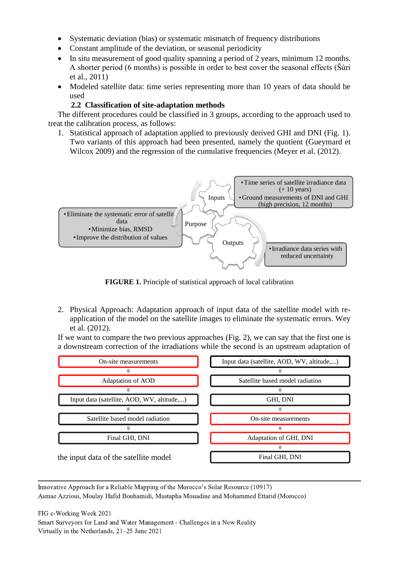- Systematic deviation (bias) or systematic mismatch of frequency distributions
- Constant amplitude of the deviation, or seasonal periodicity
- In situ measurement of good quality spanning a period of 2 years, minimum 12 months. A shorter period (6 months) is possible in order to best cover the seasonal effects (Šúri et al., 2011)
- Modeled satellite data: time series representing more than 10 years of data should be used

## **2.2 Classification of site-adaptation methods**

The different procedures could be classified in 3 groups, according to the approach used to treat the calibration process, as follows:

1. Statistical approach of adaptation applied to previously derived GHI and DNI (Fig. 1). Two variants of this approach had been presented, namely the quotient (Gueymard et Wilcox 2009) and the regression of the cumulative frequencies (Meyer et al. (2012).



**FIGURE 1.** Principle of statistical approach of local calibration

2. Physical Approach: Adaptation approach of input data of the satellite model with reapplication of the model on the satellite images to eliminate the systematic errors. Wey et al. (2012).

If we want to compare the two previous approaches (Fig. 2), we can say that the first one is a downstream correction of the irradiations while the second is an upstream adaptation of

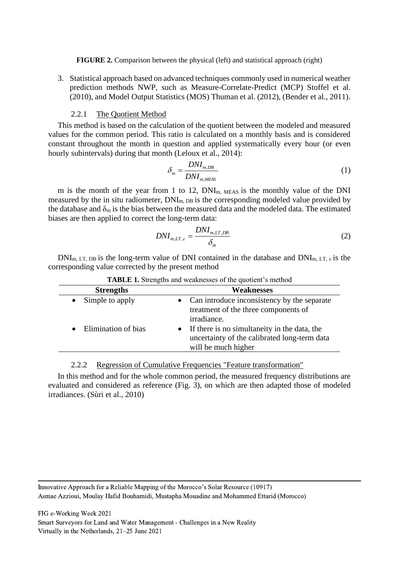**FIGURE 2.** Comparison between the physical (left) and statistical approach (right)

3. Statistical approach based on advanced techniques commonly used in numerical weather prediction methods NWP, such as Measure-Correlate-Predict (MCP) Stoffel et al. (2010), and Model Output Statistics (MOS) Thuman et al. (2012), (Bender et al., 2011).

### 2.2.1 The Quotient Method

This method is based on the calculation of the quotient between the modeled and measured values for the common period. This ratio is calculated on a monthly basis and is considered constant throughout the month in question and applied systematically every hour (or even hourly subintervals) during that month (Leloux et al., 2014):

$$
\delta_m = \frac{DNI_{m,DB}}{DNI_{m;MEAS}}
$$
 (1)

m is the month of the year from 1 to 12,  $DNI<sub>m, MEAS</sub>$  is the monthly value of the DNI measured by the in situ radiometer,  $DNI_{m, DB}$  is the corresponding modeled value provided by the database and  $\delta_{m}$  is the bias between the measured data and the modeled data. The estimated biases are then applied to correct the long-term data:

$$
DNI_{m,LT,\varepsilon} = \frac{DNI_{m,LT,DB}}{\delta_m} \tag{2}
$$

 $DNI_{m,LT, DB}$  is the long-term value of DNI contained in the database and  $DNI_{m, LT, \varepsilon}$  is the corresponding value corrected by the present method

| <b>Strengths</b>    | <b>Weaknesses</b>                                                                                                     |
|---------------------|-----------------------------------------------------------------------------------------------------------------------|
| Simple to apply     | Can introduce inconsistency by the separate<br>$\bullet$<br>treatment of the three components of<br>irradiance.       |
| Elimination of bias | • If there is no simultaneity in the data, the<br>uncertainty of the calibrated long-term data<br>will be much higher |

**TABLE 1.** Strengths and weaknesses of the quotient's method

#### 2.2.2 Regression of Cumulative Frequencies "Feature transformation"

In this method and for the whole common period, the measured frequency distributions are evaluated and considered as reference (Fig. 3), on which are then adapted those of modeled irradiances. (Sùri et al., 2010)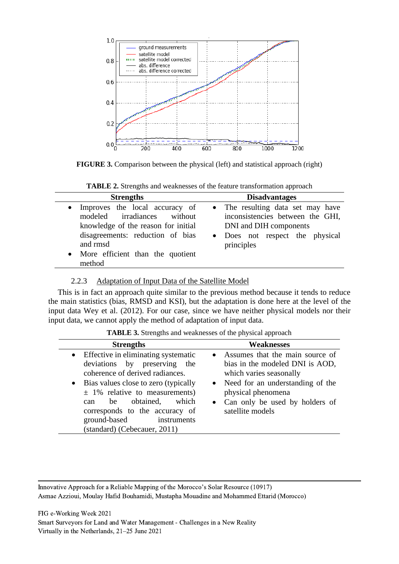

**FIGURE 3.** Comparison between the physical (left) and statistical approach (right)

| <b>TABLE 2.</b> Strengths and weaknesses of the feature transformation approach |
|---------------------------------------------------------------------------------|
|---------------------------------------------------------------------------------|

| <b>Strengths</b>                                                                                                                                                                                                | <b>Disadvantages</b>                                                                                                                             |  |  |
|-----------------------------------------------------------------------------------------------------------------------------------------------------------------------------------------------------------------|--------------------------------------------------------------------------------------------------------------------------------------------------|--|--|
| Improves the local accuracy of<br>$\bullet$<br>modeled irradiances without<br>knowledge of the reason for initial<br>disagreements: reduction of bias<br>and rmsd<br>More efficient than the quotient<br>method | • The resulting data set may have<br>inconsistencies between the GHI,<br>DNI and DIH components<br>• Does not respect the physical<br>principles |  |  |

### 2.2.3 Adaptation of Input Data of the Satellite Model

This is in fact an approach quite similar to the previous method because it tends to reduce the main statistics (bias, RMSD and KSI), but the adaptation is done here at the level of the input data Wey et al. (2012). For our case, since we have neither physical models nor their input data, we cannot apply the method of adaptation of input data.

**TABLE 3.** Strengths and weaknesses of the physical approach

| <b>Strengths</b>                                                                                                                                                                                                                                                                                                 | <b>Weaknesses</b>                                                                                                                                                                                                   |
|------------------------------------------------------------------------------------------------------------------------------------------------------------------------------------------------------------------------------------------------------------------------------------------------------------------|---------------------------------------------------------------------------------------------------------------------------------------------------------------------------------------------------------------------|
| • Effective in eliminating systematic<br>deviations by preserving the<br>coherence of derived radiances.<br>• Bias values close to zero (typically<br>$\pm$ 1% relative to measurements)<br>can be obtained, which<br>corresponds to the accuracy of<br>ground-based instruments<br>(standard) (Cebecauer, 2011) | • Assumes that the main source of<br>bias in the modeled DNI is AOD,<br>which varies seasonally<br>• Need for an understanding of the<br>physical phenomena<br>• Can only be used by holders of<br>satellite models |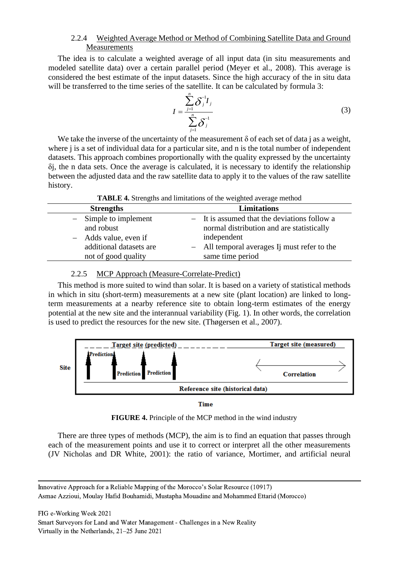### 2.2.4 Weighted Average Method or Method of Combining Satellite Data and Ground **Measurements**

The idea is to calculate a weighted average of all input data (in situ measurements and modeled satellite data) over a certain parallel period (Meyer et al., 2008). This average is considered the best estimate of the input datasets. Since the high accuracy of the in situ data will be transferred to the time series of the satellite. It can be calculated by formula 3:

$$
I = \frac{\sum_{j=1}^{n} \delta_j^{-1} I_j}{\sum_{j=1}^{n} \delta_j^{-1}}
$$
 (3)

We take the inverse of the uncertainty of the measurement  $\delta$  of each set of data j as a weight, where *j* is a set of individual data for a particular site, and *n* is the total number of independent datasets. This approach combines proportionally with the quality expressed by the uncertainty δj, the n data sets. Once the average is calculated, it is necessary to identify the relationship between the adjusted data and the raw satellite data to apply it to the values of the raw satellite history.

|  |  | <b>TABLE 4.</b> Strengths and limitations of the weighted average method |
|--|--|--------------------------------------------------------------------------|
|  |  |                                                                          |

| <b>Strengths</b>        | <b>Limitations</b>                           |
|-------------------------|----------------------------------------------|
| $-$ Simple to implement | - It is assumed that the deviations follow a |
| and robust              | normal distribution and are statistically    |
| - Adds value, even if   | independent                                  |
| additional datasets are | - All temporal averages Ij must refer to the |
| not of good quality     | same time period                             |

#### 2.2.5 MCP Approach (Measure-Correlate-Predict)

This method is more suited to wind than solar. It is based on a variety of statistical methods in which in situ (short-term) measurements at a new site (plant location) are linked to longterm measurements at a nearby reference site to obtain long-term estimates of the energy potential at the new site and the interannual variability (Fig. 1). In other words, the correlation is used to predict the resources for the new site. (Thøgersen et al., 2007).



**Time** 

**FIGURE 4.** Principle of the MCP method in the wind industry

There are three types of methods (MCP), the aim is to find an equation that passes through each of the measurement points and use it to correct or interpret all the other measurements (JV Nicholas and DR White, 2001): the ratio of variance, Mortimer, and artificial neural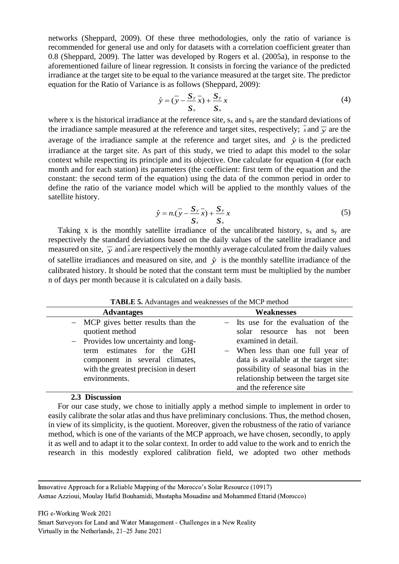networks (Sheppard, 2009). Of these three methodologies, only the ratio of variance is recommended for general use and only for datasets with a correlation coefficient greater than 0.8 (Sheppard, 2009). The latter was developed by Rogers et al. (2005a), in response to the aforementioned failure of linear regression. It consists in forcing the variance of the predicted irradiance at the target site to be equal to the variance measured at the target site. The predictor equation for the Ratio of Variance is as follows (Sheppard, 2009):

$$
\hat{y} = (\overline{y} - \frac{\mathbf{S}_y - \mathbf{S}_y}{\mathbf{S}_x}) + \frac{\mathbf{S}_y}{\mathbf{S}_x} x
$$
\n(4)

where x is the historical irradiance at the reference site,  $s_x$  and  $s_y$  are the standard deviations of the irradiance sample measured at the reference and target sites, respectively;  $\bar{x}$  and  $\bar{y}$  are the average of the irradiance sample at the reference and target sites, and  $\hat{y}$  is the predicted irradiance at the target site. As part of this study, we tried to adapt this model to the solar context while respecting its principle and its objective. One calculate for equation 4 (for each month and for each station) its parameters (the coefficient: first term of the equation and the constant: the second term of the equation) using the data of the common period in order to define the ratio of the variance model which will be applied to the monthly values of the satellite history.

$$
\hat{y} = n \cdot (\overline{y} - \frac{S_y}{S_x} \overline{x}) + \frac{S_y}{S_x} x \tag{5}
$$

Taking x is the monthly satellite irradiance of the uncalibrated history,  $s_x$  and  $s_y$  are respectively the standard deviations based on the daily values of the satellite irradiance and measured on site,  $\bar{y}$  and  $\bar{x}$  are respectively the monthly average calculated from the daily values of satellite irradiances and measured on site, and  $\hat{y}$  is the monthly satellite irradiance of the calibrated history. It should be noted that the constant term must be multiplied by the number n of days per month because it is calculated on a daily basis.

| <b>TABLE 5.</b> Advantages and weaknesses of the MCP method                                                                                                                                                                 |                                                                                                                                                                                                                                                                                  |
|-----------------------------------------------------------------------------------------------------------------------------------------------------------------------------------------------------------------------------|----------------------------------------------------------------------------------------------------------------------------------------------------------------------------------------------------------------------------------------------------------------------------------|
| <b>Advantages</b>                                                                                                                                                                                                           | <b>Weaknesses</b>                                                                                                                                                                                                                                                                |
| - MCP gives better results than the<br>quotient method<br>- Provides low uncertainty and long-<br>estimates for the GHI<br>term<br>component in several climates,<br>with the greatest precision in desert<br>environments. | - Its use for the evaluation of the<br>solar resource has not been<br>examined in detail.<br>- When less than one full year of<br>data is available at the target site:<br>possibility of seasonal bias in the<br>relationship between the target site<br>and the reference site |

**TABLE 5.** Advantages and weaknesses of the MCP method

#### **2.3 Discussion**

For our case study, we chose to initially apply a method simple to implement in order to easily calibrate the solar atlas and thus have preliminary conclusions. Thus, the method chosen, in view of its simplicity, is the quotient. Moreover, given the robustness of the ratio of variance method, which is one of the variants of the MCP approach, we have chosen, secondly, to apply it as well and to adapt it to the solar context. In order to add value to the work and to enrich the research in this modestly explored calibration field, we adopted two other methods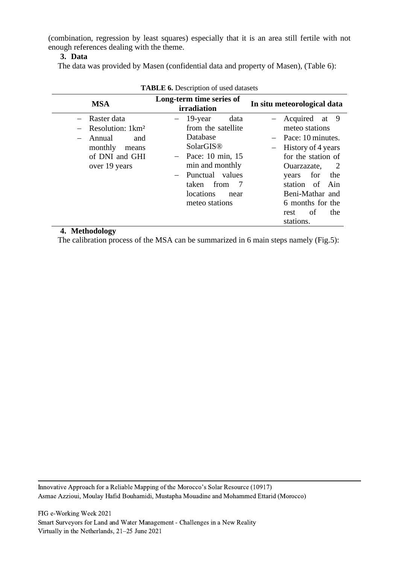(combination, regression by least squares) especially that it is an area still fertile with not enough references dealing with the theme.

#### **3. Data**

The data was provided by Masen (confidential data and property of Masen), (Table 6):

|          | <b>Trable 0.</b> Description of asea datasets                                                           |     |                                                                                                                                                                                  |                     |  |                                                                                                                                                                                             |     |                       |
|----------|---------------------------------------------------------------------------------------------------------|-----|----------------------------------------------------------------------------------------------------------------------------------------------------------------------------------|---------------------|--|---------------------------------------------------------------------------------------------------------------------------------------------------------------------------------------------|-----|-----------------------|
|          | <b>MSA</b>                                                                                              |     | Long-term time series of<br>irradiation                                                                                                                                          |                     |  | In situ meteorological data                                                                                                                                                                 |     |                       |
| - Annual | - Raster data<br>$-$ Resolution: 1 $km^2$<br>and<br>monthly<br>means<br>of DNI and GHI<br>over 19 years | $-$ | 19-year<br>from the satellite<br>Database<br>SolarGIS <sup>®</sup><br>$-$ Pace: 10 min, 15<br>min and monthly<br>Punctual values<br>from<br>taken<br>locations<br>meteo stations | data<br>- 7<br>near |  | Acquired at 9<br>meteo stations<br>$-$ Pace: 10 minutes.<br>History of 4 years<br>for the station of<br>Ouarzazate,<br>years<br>station of Ain<br>Beni-Mathar and<br>6 months for the<br>of | for | $\overline{2}$<br>the |
| ------   |                                                                                                         |     |                                                                                                                                                                                  |                     |  | rest<br>stations.                                                                                                                                                                           |     | the                   |

|  |  |  | <b>TABLE 6.</b> Description of used datasets |  |  |
|--|--|--|----------------------------------------------|--|--|
|--|--|--|----------------------------------------------|--|--|

### **4. Methodology**

The calibration process of the MSA can be summarized in 6 main steps namely (Fig.5):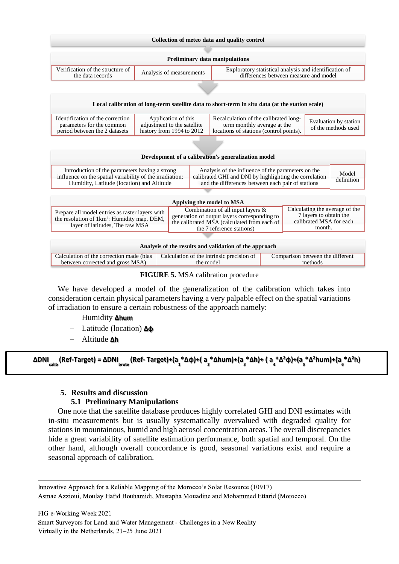| Collection of meteo data and quality control                                                                                                                                                                                                                                                                                  |                                                                                                                                                                                                    |                                                                                                                             |  |                                              |  |  |  |
|-------------------------------------------------------------------------------------------------------------------------------------------------------------------------------------------------------------------------------------------------------------------------------------------------------------------------------|----------------------------------------------------------------------------------------------------------------------------------------------------------------------------------------------------|-----------------------------------------------------------------------------------------------------------------------------|--|----------------------------------------------|--|--|--|
|                                                                                                                                                                                                                                                                                                                               | <b>Preliminary data manipulations</b>                                                                                                                                                              |                                                                                                                             |  |                                              |  |  |  |
|                                                                                                                                                                                                                                                                                                                               |                                                                                                                                                                                                    |                                                                                                                             |  |                                              |  |  |  |
| Verification of the structure of<br>the data records                                                                                                                                                                                                                                                                          |                                                                                                                                                                                                    | Exploratory statistical analysis and identification of<br>Analysis of measurements<br>differences between measure and model |  |                                              |  |  |  |
|                                                                                                                                                                                                                                                                                                                               |                                                                                                                                                                                                    |                                                                                                                             |  |                                              |  |  |  |
| Local calibration of long-term satellite data to short-term in situ data (at the station scale)                                                                                                                                                                                                                               |                                                                                                                                                                                                    |                                                                                                                             |  |                                              |  |  |  |
|                                                                                                                                                                                                                                                                                                                               |                                                                                                                                                                                                    |                                                                                                                             |  |                                              |  |  |  |
| Identification of the correction<br>parameters for the common<br>period between the 2 datasets                                                                                                                                                                                                                                | Application of this<br>Recalculation of the calibrated long-<br>adjustment to the satellite<br>term monthly average at the<br>history from 1994 to 2012<br>locations of stations (control points). |                                                                                                                             |  | Evaluation by station<br>of the methods used |  |  |  |
|                                                                                                                                                                                                                                                                                                                               |                                                                                                                                                                                                    |                                                                                                                             |  |                                              |  |  |  |
| Development of a calibration's generalization model                                                                                                                                                                                                                                                                           |                                                                                                                                                                                                    |                                                                                                                             |  |                                              |  |  |  |
| Analysis of the influence of the parameters on the<br>Introduction of the parameters having a strong<br>influence on the spatial variability of the irradiation:<br>calibrated GHI and DNI by highlighting the correlation<br>and the differences between each pair of stations<br>Humidity, Latitude (location) and Altitude |                                                                                                                                                                                                    |                                                                                                                             |  | Model<br>definition                          |  |  |  |

|                                                                                                                                               | Applying the model to MSA                                                                                                                                        |                                                                                               |
|-----------------------------------------------------------------------------------------------------------------------------------------------|------------------------------------------------------------------------------------------------------------------------------------------------------------------|-----------------------------------------------------------------------------------------------|
| Prepare all model entries as raster layers with<br>the resolution of 1km <sup>2</sup> : Humidity map, DEM,<br>layer of latitudes, The raw MSA | Combination of all input layers $\&$<br>generation of output layers corresponding to<br>the calibrated MSA (calculated from each of<br>the 7 reference stations) | Calculating the average of the<br>7 layers to obtain the<br>calibrated MSA for each<br>month. |
|                                                                                                                                               |                                                                                                                                                                  |                                                                                               |

| Analysis of the results and validation of the approach |  |
|--------------------------------------------------------|--|
|--------------------------------------------------------|--|

| Calculation of the correction made (bias Calculation of the intrinsic precision of |           | Comparison between the different |
|------------------------------------------------------------------------------------|-----------|----------------------------------|
| between corrected and gross MSA)                                                   | the model | methods                          |
|                                                                                    |           |                                  |

**FIGURE 5.** MSA calibration procedure

We have developed a model of the generalization of the calibration which takes into consideration certain physical parameters having a very palpable effect on the spatial variations of irradiation to ensure a certain robustness of the approach namely:

- − Humidity **∆hum**
- − Latitude (location) **∆φ**
- − Altitude **∆h**

```
ΔDNI<sub>calib</sub> (Ref-Target) = ΔDNI<sub>brute</sub> (Ref- Target)+(a<sub>1</sub>*Δφ)+( a<sub>2</sub>*Δhum)+(a<sub>3</sub>*Δh)+ ( a<sub>4</sub>*Δ<sup>2</sup>φ)+(a<sub>5</sub>*Δ<sup>2</sup>hum)+(a<sub>6</sub>*Δ<sup>2</sup>h)
```
#### **5. Results and discussion**

#### **5.1 Preliminary Manipulations**

One note that the satellite database produces highly correlated GHI and DNI estimates with in-situ measurements but is usually systematically overvalued with degraded quality for stations in mountainous, humid and high aerosol concentration areas. The overall discrepancies hide a great variability of satellite estimation performance, both spatial and temporal. On the other hand, although overall concordance is good, seasonal variations exist and require a seasonal approach of calibration.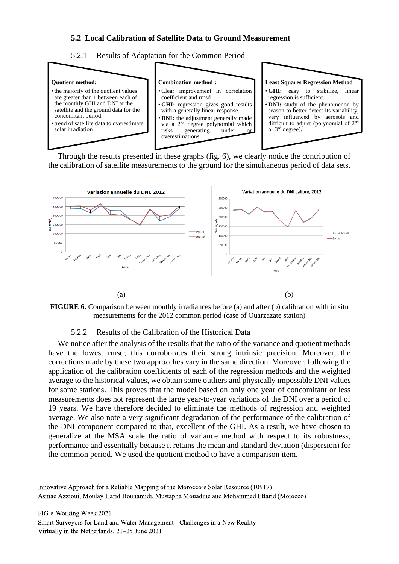### **5.2 Local Calibration of Satellite Data to Ground Measurement**





Through the results presented in these graphs (fig. 6), we clearly notice the contribution of the calibration of satellite measurements to the ground for the simultaneous period of data sets.



**FIGURE 6.** Comparison between monthly irradiances before (a) and after (b) calibration with in situ measurements for the 2012 common period (case of Ouarzazate station)

#### 5.2.2 Results of the Calibration of the Historical Data

We notice after the analysis of the results that the ratio of the variance and quotient methods have the lowest rmsd; this corroborates their strong intrinsic precision. Moreover, the corrections made by these two approaches vary in the same direction. Moreover, following the application of the calibration coefficients of each of the regression methods and the weighted average to the historical values, we obtain some outliers and physically impossible DNI values for some stations. This proves that the model based on only one year of concomitant or less measurements does not represent the large year-to-year variations of the DNI over a period of 19 years. We have therefore decided to eliminate the methods of regression and weighted average. We also note a very significant degradation of the performance of the calibration of the DNI component compared to that, excellent of the GHI. As a result, we have chosen to generalize at the MSA scale the ratio of variance method with respect to its robustness, performance and essentially because it retains the mean and standard deviation (dispersion) for the common period. We used the quotient method to have a comparison item.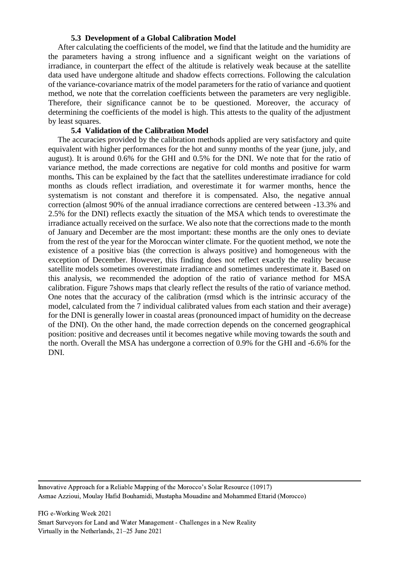#### **5.3 Development of a Global Calibration Model**

After calculating the coefficients of the model, we find that the latitude and the humidity are the parameters having a strong influence and a significant weight on the variations of irradiance, in counterpart the effect of the altitude is relatively weak because at the satellite data used have undergone altitude and shadow effects corrections. Following the calculation of the variance-covariance matrix of the model parameters for the ratio of variance and quotient method, we note that the correlation coefficients between the parameters are very negligible. Therefore, their significance cannot be to be questioned. Moreover, the accuracy of determining the coefficients of the model is high. This attests to the quality of the adjustment by least squares.

### **5.4 Validation of the Calibration Model**

The accuracies provided by the calibration methods applied are very satisfactory and quite equivalent with higher performances for the hot and sunny months of the year (june, july, and august). It is around 0.6% for the GHI and 0.5% for the DNI. We note that for the ratio of variance method, the made corrections are negative for cold months and positive for warm months**.** This can be explained by the fact that the satellites underestimate irradiance for cold months as clouds reflect irradiation, and overestimate it for warmer months, hence the systematism is not constant and therefore it is compensated. Also, the negative annual correction (almost 90% of the annual irradiance corrections are centered between -13.3% and 2.5% for the DNI) reflects exactly the situation of the MSA which tends to overestimate the irradiance actually received on the surface. We also note that the corrections made to the month of January and December are the most important: these months are the only ones to deviate from the rest of the year for the Moroccan winter climate. For the quotient method, we note the existence of a positive bias (the correction is always positive) and homogeneous with the exception of December. However, this finding does not reflect exactly the reality because satellite models sometimes overestimate irradiance and sometimes underestimate it. Based on this analysis, we recommended the adoption of the ratio of variance method for MSA calibration. Figure 7shows maps that clearly reflect the results of the ratio of variance method. One notes that the accuracy of the calibration (rmsd which is the intrinsic accuracy of the model, calculated from the 7 individual calibrated values from each station and their average) for the DNI is generally lower in coastal areas (pronounced impact of humidity on the decrease of the DNI). On the other hand, the made correction depends on the concerned geographical position: positive and decreases until it becomes negative while moving towards the south and the north. Overall the MSA has undergone a correction of 0.9% for the GHI and -6.6% for the DNI.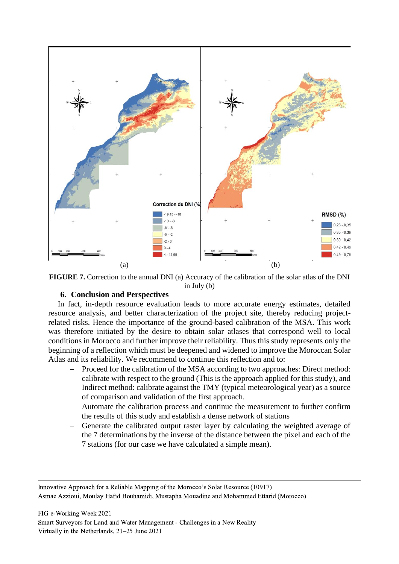

**FIGURE 7.** Correction to the annual DNI (a) Accuracy of the calibration of the solar atlas of the DNI in July (b)

#### **6. Conclusion and Perspectives**

In fact, in-depth resource evaluation leads to more accurate energy estimates, detailed resource analysis, and better characterization of the project site, thereby reducing projectrelated risks. Hence the importance of the ground-based calibration of the MSA. This work was therefore initiated by the desire to obtain solar atlases that correspond well to local conditions in Morocco and further improve their reliability. Thus this study represents only the beginning of a reflection which must be deepened and widened to improve the Moroccan Solar Atlas and its reliability. We recommend to continue this reflection and to:

- Proceed for the calibration of the MSA according to two approaches: Direct method: calibrate with respect to the ground (This is the approach applied for this study), and Indirect method: calibrate against the TMY (typical meteorological year) as a source of comparison and validation of the first approach.
- − Automate the calibration process and continue the measurement to further confirm the results of this study and establish a dense network of stations
- − Generate the calibrated output raster layer by calculating the weighted average of the 7 determinations by the inverse of the distance between the pixel and each of the 7 stations (for our case we have calculated a simple mean).

Innovative Approach for a Reliable Mapping of the Morocco's Solar Resource (10917) Asmae Azzioui, Moulay Hafid Bouhamidi, Mustapha Mouadine and Mohammed Ettarid (Morocco)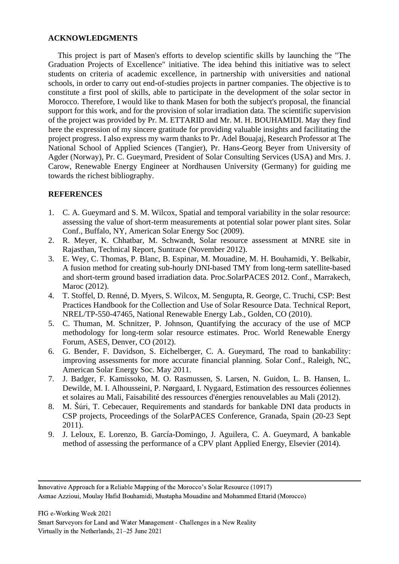#### **ACKNOWLEDGMENTS**

This project is part of Masen's efforts to develop scientific skills by launching the "The Graduation Projects of Excellence" initiative. The idea behind this initiative was to select students on criteria of academic excellence, in partnership with universities and national schools, in order to carry out end-of-studies projects in partner companies. The objective is to constitute a first pool of skills, able to participate in the development of the solar sector in Morocco. Therefore, I would like to thank Masen for both the subject's proposal, the financial support for this work, and for the provision of solar irradiation data. The scientific supervision of the project was provided by Pr. M. ETTARID and Mr. M. H. BOUHAMIDI. May they find here the expression of my sincere gratitude for providing valuable insights and facilitating the project progress. I also express my warm thanks to Pr. Adel Bouajaj, Research Professor at The National School of Applied Sciences (Tangier), Pr. Hans-Georg Beyer from University of Agder (Norway), Pr. C. Gueymard, President of Solar Consulting Services (USA) and Mrs. J. Carow, Renewable Energy Engineer at Nordhausen University (Germany) for guiding me towards the richest bibliography.

### **REFERENCES**

- 1. C. A. Gueymard and S. M. Wilcox, Spatial and temporal variability in the solar resource: assessing the value of short-term measurements at potential solar power plant sites. Solar Conf., Buffalo, NY, American Solar Energy Soc (2009).
- 2. R. Meyer, K. Chhatbar, M. Schwandt, Solar resource assessment at MNRE site in Rajasthan, Technical Report, Suntrace (November 2012).
- 3. E. Wey, C. Thomas, P. Blanc, B. Espinar, M. Mouadine, M. H. Bouhamidi, Y. Belkabir, A fusion method for creating sub-hourly DNI-based TMY from long-term satellite-based and short-term ground based irradiation data. Proc.SolarPACES 2012. Conf., Marrakech, Maroc (2012).
- 4. T. Stoffel, D. Renné, D. Myers, S. Wilcox, M. Sengupta, R. George, C. Truchi, CSP: Best Practices Handbook for the Collection and Use of Solar Resource Data. Technical Report, NREL/TP-550-47465, National Renewable Energy Lab., Golden, CO (2010).
- 5. C. Thuman, M. Schnitzer, P. Johnson, Quantifying the accuracy of the use of MCP methodology for long-term solar resource estimates. Proc. World Renewable Energy Forum, ASES, Denver, CO (2012).
- 6. G. Bender, F. Davidson, S. Eichelberger, C. A. Gueymard, The road to bankability: improving assessments for more accurate financial planning. Solar Conf., Raleigh, NC, American Solar Energy Soc. May 2011.
- 7. J. Badger, F. Kamissoko, M. O. Rasmussen, S. Larsen, N. Guidon, L. B. Hansen, L. Dewilde, M. I. Alhousseini, P. Nørgaard, I. Nygaard, Estimation des ressources éoliennes et solaires au Mali, Faisabilité des ressources d'énergies renouvelables au Mali (2012).
- 8. M. Šúri, T. Cebecauer, Requirements and standards for bankable DNI data products in CSP projects, Proceedings of the SolarPACES Conference, Granada, Spain (20-23 Sept 2011).
- 9. J. Leloux, E. Lorenzo, B. García-Domingo, J. Aguilera, C. A. Gueymard, A bankable method of assessing the performance of a CPV plant Applied Energy, Elsevier (2014).

Innovative Approach for a Reliable Mapping of the Morocco's Solar Resource (10917) Asmae Azzioui, Moulay Hafid Bouhamidi, Mustapha Mouadine and Mohammed Ettarid (Morocco)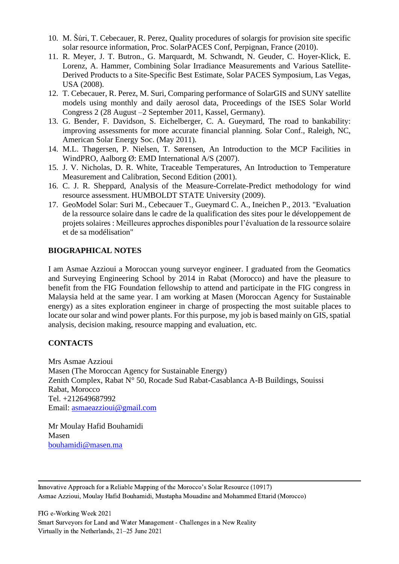- 10. M. Šúri, T. Cebecauer, R. Perez, Quality procedures of solargis for provision site specific solar resource information, Proc. SolarPACES Conf, Perpignan, France (2010).
- 11. R. Meyer, J. T. Butron., G. Marquardt, M. Schwandt, N. Geuder, C. Hoyer-Klick, E. Lorenz, A. Hammer, Combining Solar Irradiance Measurements and Various Satellite-Derived Products to a Site-Specific Best Estimate, Solar PACES Symposium, Las Vegas, USA (2008).
- 12. T. Cebecauer, R. Perez, M. Suri, Comparing performance of SolarGIS and SUNY satellite models using monthly and daily aerosol data, Proceedings of the ISES Solar World Congress 2 (28 August –2 September 2011, Kassel, Germany).
- 13. G. Bender, F. Davidson, S. Eichelberger, C. A. Gueymard, The road to bankability: improving assessments for more accurate financial planning. Solar Conf., Raleigh, NC, American Solar Energy Soc. (May 2011).
- 14. M.L. Thøgersen, P. Nielsen, T. Sørensen, An Introduction to the MCP Facilities in WindPRO, Aalborg Ø: EMD International A/S (2007).
- 15. J. V. Nicholas, D. R. White, Traceable Temperatures, An Introduction to Temperature Measurement and Calibration, Second Edition (2001).
- 16. C. J. R. Sheppard, Analysis of the Measure-Correlate-Predict methodology for wind resource assessment. HUMBOLDT STATE University (2009).
- 17. GeoModel Solar: Suri M., Cebecauer T., Gueymard C. A., Ineichen P., 2013. "Evaluation de la ressource solaire dans le cadre de la qualification des sites pour le développement de projets solaires : Meilleures approches disponibles pour l'évaluation de la ressource solaire et de sa modélisation"

### **BIOGRAPHICAL NOTES**

I am Asmae Azzioui a Moroccan young surveyor engineer. I graduated from the Geomatics and Surveying Engineering School by 2014 in Rabat (Morocco) and have the pleasure to benefit from the FIG Foundation fellowship to attend and participate in the FIG congress in Malaysia held at the same year. I am working at Masen (Moroccan Agency for Sustainable energy) as a sites exploration engineer in charge of prospecting the most suitable places to locate our solar and wind power plants. For this purpose, my job is based mainly on GIS, spatial analysis, decision making, resource mapping and evaluation, etc.

#### **CONTACTS**

Mrs Asmae Azzioui Masen (The Moroccan Agency for Sustainable Energy) Zenith Complex, Rabat N° 50, Rocade Sud Rabat-Casablanca A-B Buildings, Souissi Rabat, Morocco Tel. +212649687992 Email: [asmaeazzioui@gmail.com](mailto:asmaeazzioui@gmail.com)

Mr Moulay Hafid Bouhamidi Masen [bouhamidi@masen.ma](mailto:bouhamidi@masen.ma)